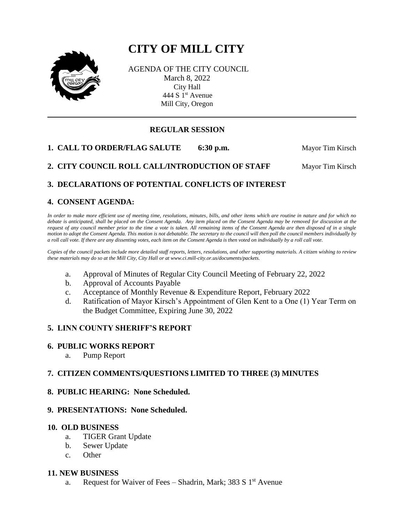# **CITY OF MILL CITY**



AGENDA OF THE CITY COUNCIL March 8, 2022 City Hall 444 S 1<sup>st</sup> Avenue Mill City, Oregon

# **REGULAR SESSION**

**1. CALL TO ORDER/FLAG SALUTE** 6:30 p.m. Mayor Tim Kirsch

**2. CITY COUNCIL ROLL CALL/INTRODUCTION OF STAFF Mayor Tim Kirsch** 

# **3. DECLARATIONS OF POTENTIAL CONFLICTS OF INTEREST**

# **4. CONSENT AGENDA:**

*In order to make more efficient use of meeting time, resolutions, minutes, bills, and other items which are routine in nature and for which no debate is anticipated, shall be placed on the Consent Agenda. Any item placed on the Consent Agenda may be removed for discussion at the request of any council member prior to the time a vote is taken. All remaining items of the Consent Agenda are then disposed of in a single motion to adopt the Consent Agenda. This motion is not debatable. The secretary to the council will then poll the council members individually by a roll call vote. If there are any dissenting votes, each item on the Consent Agenda is then voted on individually by a roll call vote.*

*Copies of the council packets include more detailed staff reports, letters, resolutions, and other supporting materials. A citizen wishing to review these materials may do so at the Mill City, City Hall or at www.ci.mill-city.or.us/documents/packets.*

- a. Approval of Minutes of Regular City Council Meeting of February 22, 2022
- b. Approval of Accounts Payable
- c. Acceptance of Monthly Revenue & Expenditure Report, February 2022
- d. Ratification of Mayor Kirsch's Appointment of Glen Kent to a One (1) Year Term on the Budget Committee, Expiring June 30, 2022

# **5. LINN COUNTY SHERIFF'S REPORT**

# **6. PUBLIC WORKS REPORT**

a. Pump Report

# **7. CITIZEN COMMENTS/QUESTIONS LIMITED TO THREE (3) MINUTES**

**8. PUBLIC HEARING: None Scheduled.**

# **9. PRESENTATIONS: None Scheduled.**

#### **10. OLD BUSINESS**

- a. TIGER Grant Update
- b. Sewer Update
- c. Other

# **11. NEW BUSINESS**

a. Request for Waiver of Fees – Shadrin, Mark; 383 S  $1<sup>st</sup>$  Avenue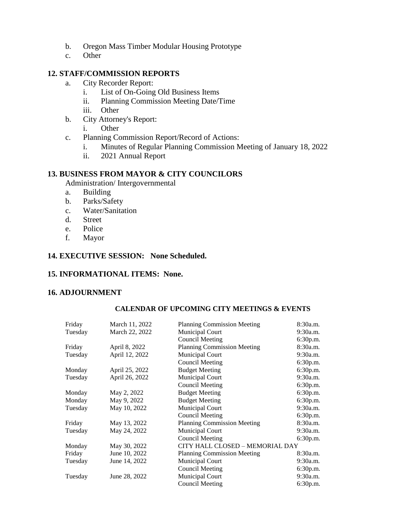- b. Oregon Mass Timber Modular Housing Prototype
- c. Other

# **12. STAFF/COMMISSION REPORTS**

- a. City Recorder Report:
	- i. List of On-Going Old Business Items
	- ii. Planning Commission Meeting Date/Time
	- iii. Other
- b. City Attorney's Report:
	- i. Other
- c. Planning Commission Report/Record of Actions:
	- i. Minutes of Regular Planning Commission Meeting of January 18, 2022
	- ii. 2021 Annual Report

# **13. BUSINESS FROM MAYOR & CITY COUNCILORS**

- Administration/ Intergovernmental
- a. Building
- b. Parks/Safety
- c. Water/Sanitation
- d. Street
- e. Police
- f. Mayor

# **14. EXECUTIVE SESSION: None Scheduled.**

# **15. INFORMATIONAL ITEMS: None.**

# **16. ADJOURNMENT**

#### **CALENDAR OF UPCOMING CITY MEETINGS & EVENTS**

| Friday  | March 11, 2022 | <b>Planning Commission Meeting</b> | 8:30a.m. |
|---------|----------------|------------------------------------|----------|
| Tuesday | March 22, 2022 | Municipal Court                    | 9:30a.m. |
|         |                | <b>Council Meeting</b>             | 6:30p.m. |
| Friday  | April 8, 2022  | <b>Planning Commission Meeting</b> | 8:30a.m. |
| Tuesday | April 12, 2022 | Municipal Court                    | 9:30a.m. |
|         |                | <b>Council Meeting</b>             | 6:30p.m. |
| Monday  | April 25, 2022 | <b>Budget Meeting</b>              | 6:30p.m. |
| Tuesday | April 26, 2022 | <b>Municipal Court</b>             | 9:30a.m. |
|         |                | <b>Council Meeting</b>             | 6:30p.m. |
| Monday  | May 2, 2022    | <b>Budget Meeting</b>              | 6:30p.m. |
| Monday  | May 9, 2022    | <b>Budget Meeting</b>              | 6:30p.m. |
| Tuesday | May 10, 2022   | Municipal Court                    | 9:30a.m. |
|         |                | <b>Council Meeting</b>             | 6:30p.m. |
| Friday  | May 13, 2022   | <b>Planning Commission Meeting</b> | 8:30a.m. |
| Tuesday | May 24, 2022   | Municipal Court                    | 9:30a.m. |
|         |                | <b>Council Meeting</b>             | 6:30p.m. |
| Monday  | May 30, 2022   | CITY HALL CLOSED - MEMORIAL DAY    |          |
| Friday  | June 10, 2022  | <b>Planning Commission Meeting</b> | 8:30a.m. |
| Tuesday | June 14, 2022  | <b>Municipal Court</b>             | 9:30a.m. |
|         |                | Council Meeting                    | 6:30p.m. |
| Tuesday | June 28, 2022  | <b>Municipal Court</b>             | 9:30a.m. |
|         |                | Council Meeting                    | 6:30p.m. |